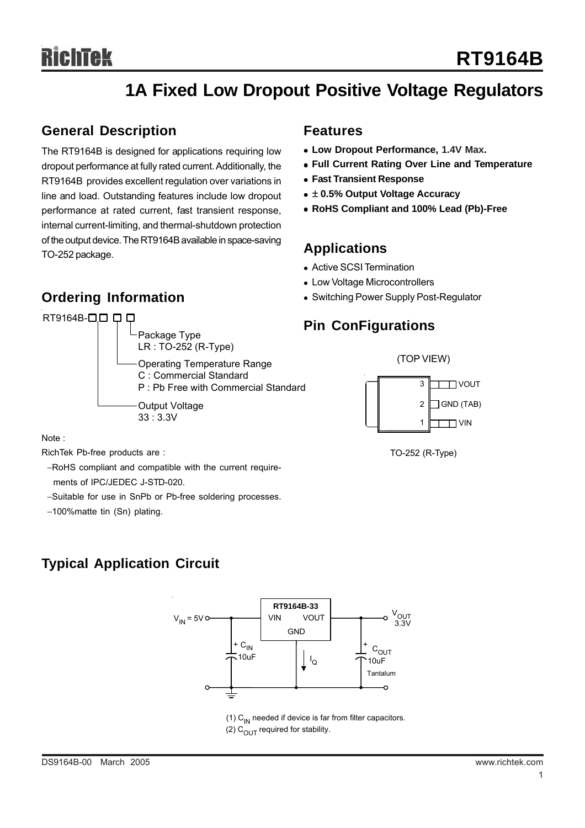# ichīek

# **1A Fixed Low Dropout Positive Voltage Regulators**

### **General Description**

The RT9164B is designed for applications requiring low dropout performance at fully rated current. Additionally, the RT9164B provides excellent regulation over variations in line and load. Outstanding features include low dropout performance at rated current, fast transient response, internal current-limiting, and thermal-shutdown protection of the output device. The RT9164B available in space-saving TO-252 package.

# **Ordering Information**



### **Features**

- **Low Dropout Performance, 1.4V Max.**
- **Full Current Rating Over Line and Temperature**
- **Fast Transient Response**
- ± 0.5% Output Voltage Accuracy
- <sup>z</sup> **RoHS Compliant and 100% Lead (Pb)-Free**

### **Applications**

- Active SCSI Termination
- Low Voltage Microcontrollers
- Switching Power Supply Post-Regulator

## **Pin ConFigurations**



TO-252 (R-Type)

Note :

RichTek Pb-free products are :

−RoHS compliant and compatible with the current require ments of IPC/JEDEC J-STD-020.

- −Suitable for use in SnPb or Pb-free soldering processes.
- −100%matte tin (Sn) plating.

# **Typical Application Circuit**



(1)  $C_{IN}$  needed if device is far from filter capacitors. (2)  $C<sub>OUT</sub>$  required for stability.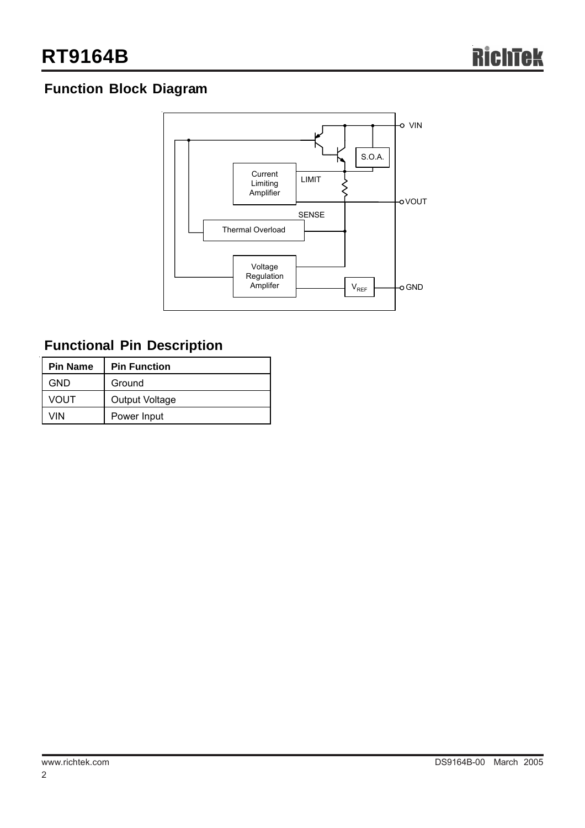# **Function Block Diagram**



# **Functional Pin Description**

| <b>Pin Name</b> | <b>Pin Function</b>   |  |
|-----------------|-----------------------|--|
| <b>GND</b>      | Ground                |  |
| VOUT            | <b>Output Voltage</b> |  |
| VIN             | Power Input           |  |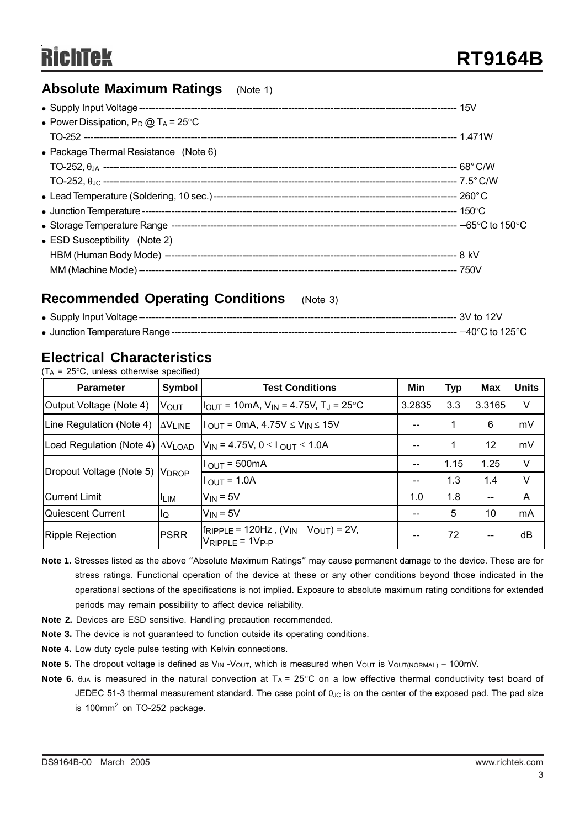### **Absolute Maximum Ratings** (Note 1)

| • Power Dissipation, $P_D @ T_A = 25^{\circ}C$ |  |
|------------------------------------------------|--|
|                                                |  |
| • Package Thermal Resistance (Note 6)          |  |
|                                                |  |
|                                                |  |
|                                                |  |
|                                                |  |
|                                                |  |
| • ESD Susceptibility (Note 2)                  |  |
|                                                |  |
|                                                |  |

### **Recommended Operating Conditions** (Note 3)

|  | $-40^{\circ}$ C to 125 $^{\circ}$ C . |
|--|---------------------------------------|

## **Electrical Characteristics**

| $(T_A = 25^{\circ}C$ , unless otherwise specified) |  |  |  |
|----------------------------------------------------|--|--|--|
|----------------------------------------------------|--|--|--|

| <b>Parameter</b>                                                                                             | Symbol       | <b>Test Conditions</b>                                                               | Min                                   | <b>Typ</b> | Max    | <b>Units</b> |
|--------------------------------------------------------------------------------------------------------------|--------------|--------------------------------------------------------------------------------------|---------------------------------------|------------|--------|--------------|
| Output Voltage (Note 4)                                                                                      | <b>V</b> OUT | $V_{\text{OUT}}$ = 10mA, $V_{\text{IN}}$ = 4.75V, T <sub>J</sub> = 25 <sup>o</sup> C |                                       | 3.3        | 3.3165 | V            |
| Line Regulation (Note 4)<br>$1_{\text{OUT}}$ = 0mA, 4.75V $\leq$ V <sub>IN</sub> $\leq$ 15V<br><b>AVLINE</b> |              | --                                                                                   |                                       | 6          | mV     |              |
| Load Regulation (Note 4)   $\Delta V_{\text{LOAD}}$                                                          |              | $V_{IN}$ = 4.75V, 0 $\leq$ 1 $_{OUT}$ $\leq$ 1.0A                                    | $- -$                                 |            | 12     | mV           |
| Dropout Voltage (Note 5) VDROP                                                                               |              | $1OUT = 500mA$                                                                       | $\overline{\phantom{m}}$              | 1.15       | 1.25   | $\vee$       |
|                                                                                                              |              | $1_{\text{OUT}} = 1.0$ A                                                             | $\hspace{0.05cm}$ – $\hspace{0.05cm}$ | 1.3        | 1.4    | V            |
| $V_{IN} = 5V$<br><b>Current Limit</b><br><sup>I</sup> LIM                                                    |              | 1.0                                                                                  | 1.8                                   | $-$        | A      |              |
| $V_{IN} = 5V$<br>Quiescent Current<br>llQ                                                                    |              |                                                                                      | $- -$                                 | 5          | 10     | mA           |
| Ripple Rejection                                                                                             | <b>PSRR</b>  | $f_{RIPPLE}$ = 120Hz, $(V_{IN} - V_{OUT})$ = 2V,<br>VRIPPLE = 1VP-P                  | --                                    | 72         | --     | dB           |

- **Note 1.** Stresses listed as the above "Absolute Maximum Ratings" may cause permanent damage to the device. These are for stress ratings. Functional operation of the device at these or any other conditions beyond those indicated in the operational sections of the specifications is not implied. Exposure to absolute maximum rating conditions for extended periods may remain possibility to affect device reliability.
- **Note 2.** Devices are ESD sensitive. Handling precaution recommended.
- **Note 3.** The device is not guaranteed to function outside its operating conditions.
- **Note 4.** Low duty cycle pulse testing with Kelvin connections.
- Note 5. The dropout voltage is defined as V<sub>IN</sub> -V<sub>OUT</sub>, which is measured when V<sub>OUT</sub> is V<sub>OUT(NORMAL)</sub> − 100mV.
- **Note 6.** θ<sub>JA</sub> is measured in the natural convection at T<sub>A</sub> = 25°C on a low effective thermal conductivity test board of JEDEC 51-3 thermal measurement standard. The case point of  $\theta_{\text{JC}}$  is on the center of the exposed pad. The pad size is 100mm<sup>2</sup> on TO-252 package.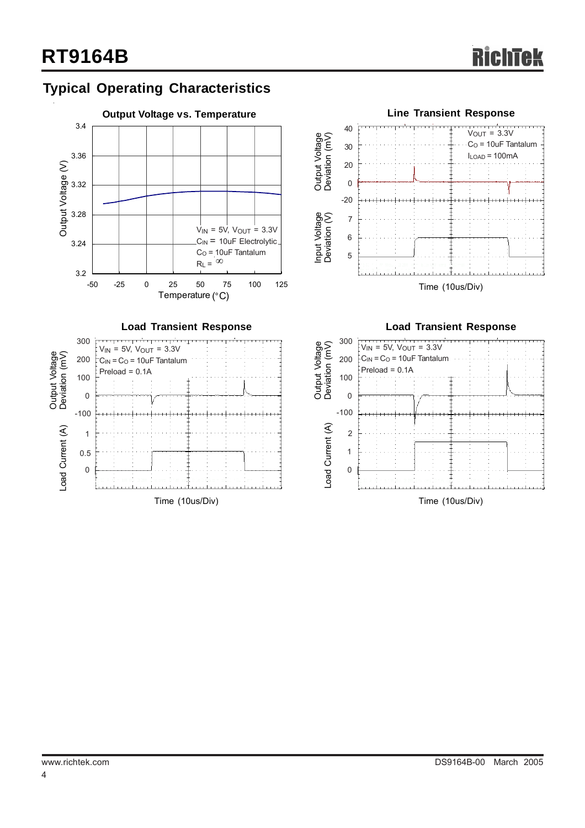# **Typical Operating Characteristics**







**Load Transient Response**

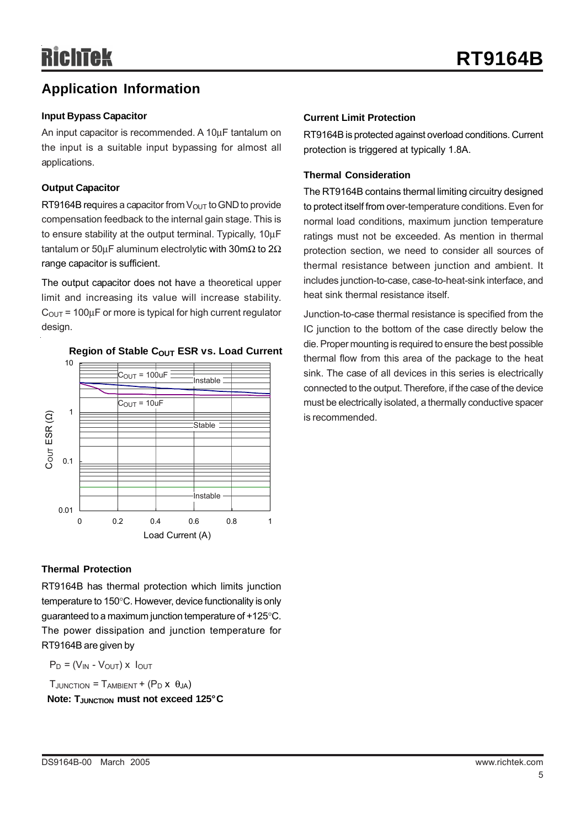# **Application Information**

### **Input Bypass Capacitor**

An input capacitor is recommended. A 10µF tantalum on the input is a suitable input bypassing for almost all applications.

#### **Output Capacitor**

RT9164B requires a capacitor from  $V_{\text{OUT}}$  to GND to provide compensation feedback to the internal gain stage. This is to ensure stability at the output terminal. Typically, 10µF tantalum or 50uF aluminum electrolytic with 30mΩ to 2Ω range capacitor is sufficient.

The output capacitor does not have a theoretical upper limit and increasing its value will increase stability.  $C<sub>OUT</sub> = 100<sub>µ</sub>F$  or more is typical for high current regulator design.



### **Region of Stable COUT ESR vs. Load Current**

#### **Current Limit Protection**

RT9164B is protected against overload conditions. Current protection is triggered at typically 1.8A.

#### **Thermal Consideration**

The RT9164B contains thermal limiting circuitry designed to protect itself from over-temperature conditions. Even for normal load conditions, maximum junction temperature ratings must not be exceeded. As mention in thermal protection section, we need to consider all sources of thermal resistance between junction and ambient. It includes junction-to-case, case-to-heat-sink interface, and heat sink thermal resistance itself.

Junction-to-case thermal resistance is specified from the IC junction to the bottom of the case directly below the die. Proper mounting is required to ensure the best possible thermal flow from this area of the package to the heat sink. The case of all devices in this series is electrically connected to the output. Therefore, if the case of the device must be electrically isolated, a thermally conductive spacer is recommended.

### **Thermal Protection**

RT9164B has thermal protection which limits junction temperature to 150°C. However, device functionality is only guaranteed to a maximum junction temperature of +125°C. The power dissipation and junction temperature for RT9164B are given by

 $P_D = (V_{IN} - V_{OUT}) \times I_{OUT}$ 

 $T_{JUNCTION} = T_{AMBIENT} + (P_D \times \theta_{JA})$ **Note: T**JUNCTION **must not exceed 125°C**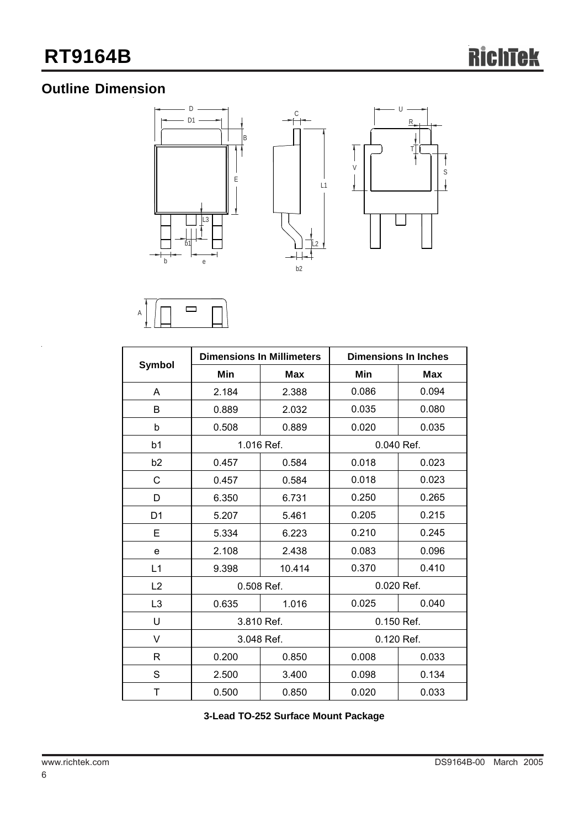# **Outline Dimension**





|                |            | <b>Dimensions In Millimeters</b> | <b>Dimensions In Inches</b> |            |  |
|----------------|------------|----------------------------------|-----------------------------|------------|--|
| <b>Symbol</b>  | Min        | <b>Max</b>                       | Min                         | <b>Max</b> |  |
| A              | 2.184      | 2.388                            | 0.086                       | 0.094      |  |
| B              | 0.889      | 2.032                            | 0.035                       | 0.080      |  |
| b              | 0.508      | 0.889                            | 0.020                       | 0.035      |  |
| b1             | 1.016 Ref. |                                  | 0.040 Ref.                  |            |  |
| b <sub>2</sub> | 0.457      | 0.584                            | 0.018                       | 0.023      |  |
| С              | 0.457      | 0.584                            | 0.018                       | 0.023      |  |
| D              | 6.350      | 6.731                            | 0.250                       | 0.265      |  |
| D <sub>1</sub> | 5.207      | 5.461                            | 0.205                       | 0.215      |  |
| E              | 5.334      | 6.223                            | 0.210                       | 0.245      |  |
| е              | 2.108      | 2.438                            | 0.083                       | 0.096      |  |
| L1             | 9.398      | 10.414                           | 0.370                       | 0.410      |  |
| L2             | 0.508 Ref. |                                  | 0.020 Ref.                  |            |  |
| L <sub>3</sub> | 0.635      | 1.016                            | 0.025                       | 0.040      |  |
| U              | 3.810 Ref. |                                  | 0.150 Ref.                  |            |  |
| V              | 3.048 Ref. |                                  | 0.120 Ref.                  |            |  |
| R              | 0.200      | 0.850                            | 0.008                       | 0.033      |  |
| S              | 2.500      | 3.400                            | 0.098                       | 0.134      |  |
| Τ              | 0.500      | 0.850                            | 0.020                       | 0.033      |  |

**3-Lead TO-252 Surface Mount Package**